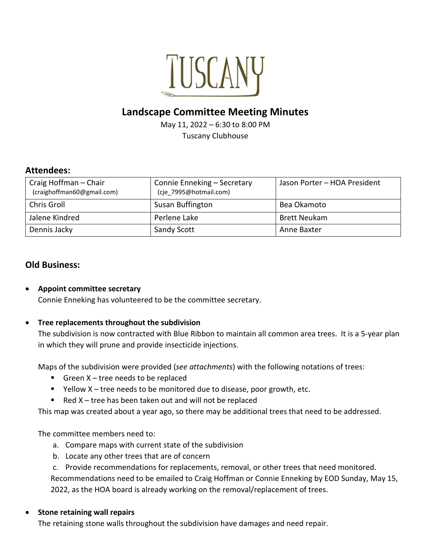

# **Landscape Committee Meeting Minutes**

May 11, 2022 – 6:30 to 8:00 PM Tuscany Clubhouse

#### **Attendees:**

| Craig Hoffman - Chair<br>(craighoffman60@gmail.com) | Connie Enneking - Secretary<br>(cje 7995@hotmail.com) | Jason Porter - HOA President |
|-----------------------------------------------------|-------------------------------------------------------|------------------------------|
| Chris Groll                                         | Susan Buffington                                      | Bea Okamoto                  |
| Jalene Kindred                                      | Perlene Lake                                          | <b>Brett Neukam</b>          |
| Dennis Jacky                                        | <b>Sandy Scott</b>                                    | Anne Baxter                  |

## **Old Business:**

• **Appoint committee secretary** Connie Enneking has volunteered to be the committee secretary.

#### • **Tree replacements throughout the subdivision**

The subdivision is now contracted with Blue Ribbon to maintain all common area trees. It is a 5-year plan in which they will prune and provide insecticide injections.

Maps of the subdivision were provided (*see attachments*) with the following notations of trees:

- Green  $X$  tree needs to be replaced
- Yellow X tree needs to be monitored due to disease, poor growth, etc.
- Red  $X$  tree has been taken out and will not be replaced

This map was created about a year ago, so there may be additional trees that need to be addressed.

The committee members need to:

- a. Compare maps with current state of the subdivision
- b. Locate any other trees that are of concern
- c. Provide recommendations for replacements, removal, or other trees that need monitored.

Recommendations need to be emailed to Craig Hoffman or Connie Enneking by EOD Sunday, May 15, 2022, as the HOA board is already working on the removal/replacement of trees.

#### • **Stone retaining wall repairs**

The retaining stone walls throughout the subdivision have damages and need repair.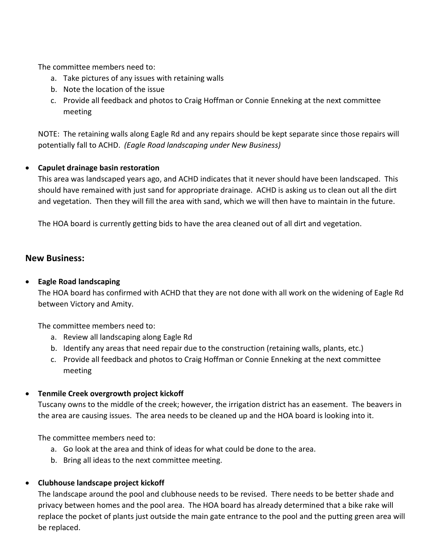The committee members need to:

- a. Take pictures of any issues with retaining walls
- b. Note the location of the issue
- c. Provide all feedback and photos to Craig Hoffman or Connie Enneking at the next committee meeting

NOTE: The retaining walls along Eagle Rd and any repairs should be kept separate since those repairs will potentially fall to ACHD. *(Eagle Road landscaping under New Business)* 

#### • **Capulet drainage basin restoration**

This area was landscaped years ago, and ACHD indicates that it never should have been landscaped. This should have remained with just sand for appropriate drainage. ACHD is asking us to clean out all the dirt and vegetation. Then they will fill the area with sand, which we will then have to maintain in the future.

The HOA board is currently getting bids to have the area cleaned out of all dirt and vegetation.

## **New Business:**

#### • **Eagle Road landscaping**

The HOA board has confirmed with ACHD that they are not done with all work on the widening of Eagle Rd between Victory and Amity.

The committee members need to:

- a. Review all landscaping along Eagle Rd
- b. Identify any areas that need repair due to the construction (retaining walls, plants, etc.)
- c. Provide all feedback and photos to Craig Hoffman or Connie Enneking at the next committee meeting

#### • **Tenmile Creek overgrowth project kickoff**

Tuscany owns to the middle of the creek; however, the irrigation district has an easement. The beavers in the area are causing issues. The area needs to be cleaned up and the HOA board is looking into it.

The committee members need to:

- a. Go look at the area and think of ideas for what could be done to the area.
- b. Bring all ideas to the next committee meeting.

## • **Clubhouse landscape project kickoff**

The landscape around the pool and clubhouse needs to be revised. There needs to be better shade and privacy between homes and the pool area. The HOA board has already determined that a bike rake will replace the pocket of plants just outside the main gate entrance to the pool and the putting green area will be replaced.